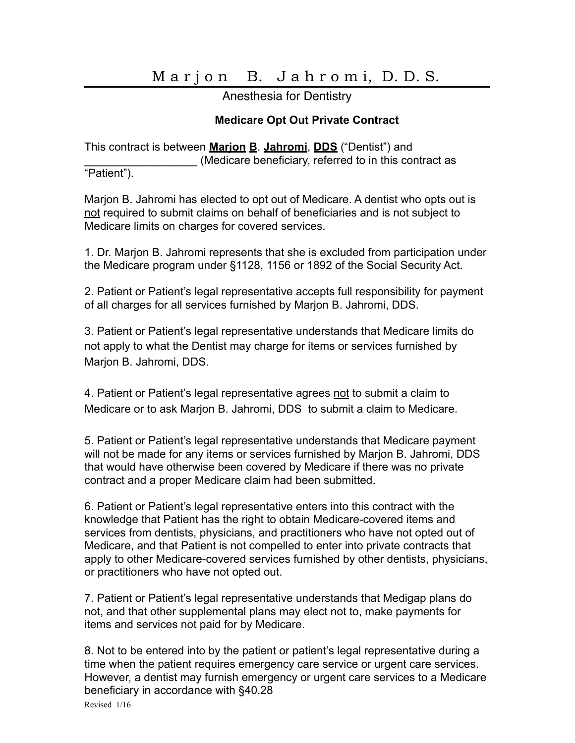## Marjon B. Jahromi, D.D.S.

Anesthesia for Dentistry

## **Medicare Opt Out Private Contract**

This contract is between **Marjon B**. **Jahromi**, **DDS** ("Dentist") and (Medicare beneficiary, referred to in this contract as

"Patient").

Marjon B. Jahromi has elected to opt out of Medicare. A dentist who opts out is not required to submit claims on behalf of beneficiaries and is not subject to Medicare limits on charges for covered services.

1. Dr. Marjon B. Jahromi represents that she is excluded from participation under the Medicare program under §1128, 1156 or 1892 of the Social Security Act.

2. Patient or Patient's legal representative accepts full responsibility for payment of all charges for all services furnished by Marjon B. Jahromi, DDS.

3. Patient or Patient's legal representative understands that Medicare limits do not apply to what the Dentist may charge for items or services furnished by Marjon B. Jahromi, DDS.

4. Patient or Patient's legal representative agrees not to submit a claim to Medicare or to ask Marjon B. Jahromi, DDS to submit a claim to Medicare.

5. Patient or Patient's legal representative understands that Medicare payment will not be made for any items or services furnished by Marjon B. Jahromi, DDS that would have otherwise been covered by Medicare if there was no private contract and a proper Medicare claim had been submitted.

6. Patient or Patient's legal representative enters into this contract with the knowledge that Patient has the right to obtain Medicare-covered items and services from dentists, physicians, and practitioners who have not opted out of Medicare, and that Patient is not compelled to enter into private contracts that apply to other Medicare-covered services furnished by other dentists, physicians, or practitioners who have not opted out.

7. Patient or Patient's legal representative understands that Medigap plans do not, and that other supplemental plans may elect not to, make payments for items and services not paid for by Medicare.

8. Not to be entered into by the patient or patient's legal representative during a time when the patient requires emergency care service or urgent care services. However, a dentist may furnish emergency or urgent care services to a Medicare beneficiary in accordance with §40.28